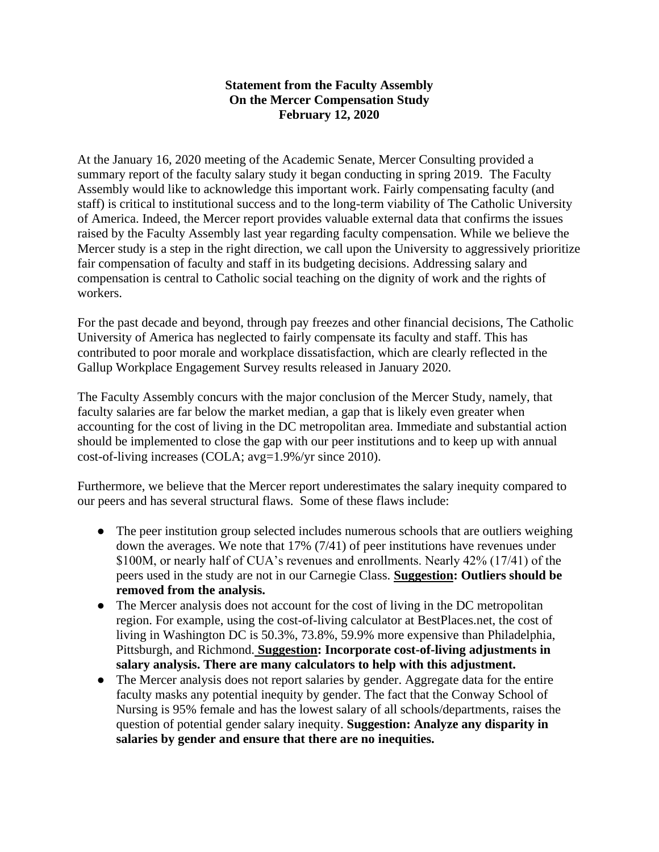## **Statement from the Faculty Assembly On the Mercer Compensation Study February 12, 2020**

At the January 16, 2020 meeting of the Academic Senate, Mercer Consulting provided a summary report of the faculty salary study it began conducting in spring 2019. The Faculty Assembly would like to acknowledge this important work. Fairly compensating faculty (and staff) is critical to institutional success and to the long-term viability of The Catholic University of America. Indeed, the Mercer report provides valuable external data that confirms the issues raised by the Faculty Assembly last year regarding faculty compensation. While we believe the Mercer study is a step in the right direction, we call upon the University to aggressively prioritize fair compensation of faculty and staff in its budgeting decisions. Addressing salary and compensation is central to Catholic social teaching on the dignity of work and the rights of workers.

For the past decade and beyond, through pay freezes and other financial decisions, The Catholic University of America has neglected to fairly compensate its faculty and staff. This has contributed to poor morale and workplace dissatisfaction, which are clearly reflected in the Gallup Workplace Engagement Survey results released in January 2020.

The Faculty Assembly concurs with the major conclusion of the Mercer Study, namely, that faculty salaries are far below the market median, a gap that is likely even greater when accounting for the cost of living in the DC metropolitan area. Immediate and substantial action should be implemented to close the gap with our peer institutions and to keep up with annual cost-of-living increases (COLA; avg=1.9%/yr since 2010).

Furthermore, we believe that the Mercer report underestimates the salary inequity compared to our peers and has several structural flaws. Some of these flaws include:

- The peer institution group selected includes numerous schools that are outliers weighing down the averages. We note that 17% (7/41) of peer institutions have revenues under \$100M, or nearly half of CUA's revenues and enrollments. Nearly 42% (17/41) of the peers used in the study are not in our Carnegie Class. **Suggestion: Outliers should be removed from the analysis.**
- The Mercer analysis does not account for the cost of living in the DC metropolitan region. For example, using the cost-of-living calculator at BestPlaces.net, the cost of living in Washington DC is 50.3%, 73.8%, 59.9% more expensive than Philadelphia, Pittsburgh, and Richmond. **Suggestion: Incorporate cost-of-living adjustments in salary analysis. There are many calculators to help with this adjustment.**
- The Mercer analysis does not report salaries by gender. Aggregate data for the entire faculty masks any potential inequity by gender. The fact that the Conway School of Nursing is 95% female and has the lowest salary of all schools/departments, raises the question of potential gender salary inequity. **Suggestion: Analyze any disparity in salaries by gender and ensure that there are no inequities.**